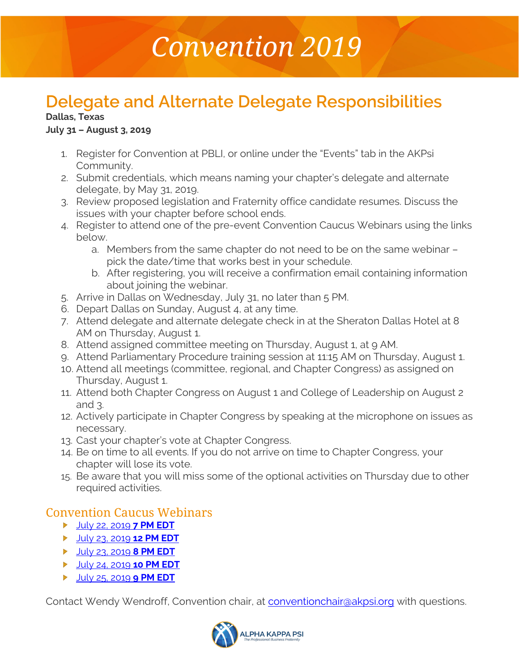# *Convention 2019*

## **Delegate and Alternate Delegate Responsibilities**

#### **Dallas, Texas**

#### **July 31 – August 3, 2019**

- 1. Register for Convention at PBLI, or online under the "Events" tab in the AKPsi Community.
- 2. Submit credentials, which means naming your chapter's delegate and alternate delegate, by May 31, 2019.
- 3. Review proposed legislation and Fraternity office candidate resumes. Discuss the issues with your chapter before school ends.
- 4. Register to attend one of the pre-event Convention Caucus Webinars using the links below.
	- a. Members from the same chapter do not need to be on the same webinar pick the date/time that works best in your schedule.
	- b. After registering, you will receive a confirmation email containing information about joining the webinar.
- 5. Arrive in Dallas on Wednesday, July 31, no later than 5 PM.
- 6. Depart Dallas on Sunday, August 4, at any time.
- 7. Attend delegate and alternate delegate check in at the Sheraton Dallas Hotel at 8 AM on Thursday, August 1.
- 8. Attend assigned committee meeting on Thursday, August 1, at 9 AM.
- 9. Attend Parliamentary Procedure training session at 11:15 AM on Thursday, August 1.
- 10. Attend all meetings (committee, regional, and Chapter Congress) as assigned on Thursday, August 1.
- 11. Attend both Chapter Congress on August 1 and College of Leadership on August 2 and 3.
- 12. Actively participate in Chapter Congress by speaking at the microphone on issues as necessary.
- 13. Cast your chapter's vote at Chapter Congress.
- 14. Be on time to all events. If you do not arrive on time to Chapter Congress, your chapter will lose its vote.
- 15. Be aware that you will miss some of the optional activities on Thursday due to other required activities.

### Convention Caucus Webinars

- [July 22, 2019](https://event.on24.com/wcc/r/2035722/04A382BFA25F5064AF661626D422C6AC) **7 PM EDT**
- [July 23, 2019](https://event.on24.com/wcc/r/2044949/CD8BB3063666A9DD8DEF0508FADA731C) **12 PM EDT**
- [July 23, 2019](https://event.on24.com/wcc/r/2044958/AA675907DD9B86C9AD12C1B35413F521) **8 PM EDT**
- [July 24, 2019](https://event.on24.com/wcc/r/2044974/5EC7F640F52F4A94A89514CB38F49258) **10 PM EDT**
- [July 25, 2019](https://event.on24.com/wcc/r/2044978/F5D14CF9B1A95EC01C1A0A2F3C7049F3) **9 PM EDT**

Contact Wendy Wendroff, Convention chair, at [conventionchair@akpsi.org](mailto:conventionchair@akpsi.org) with questions.